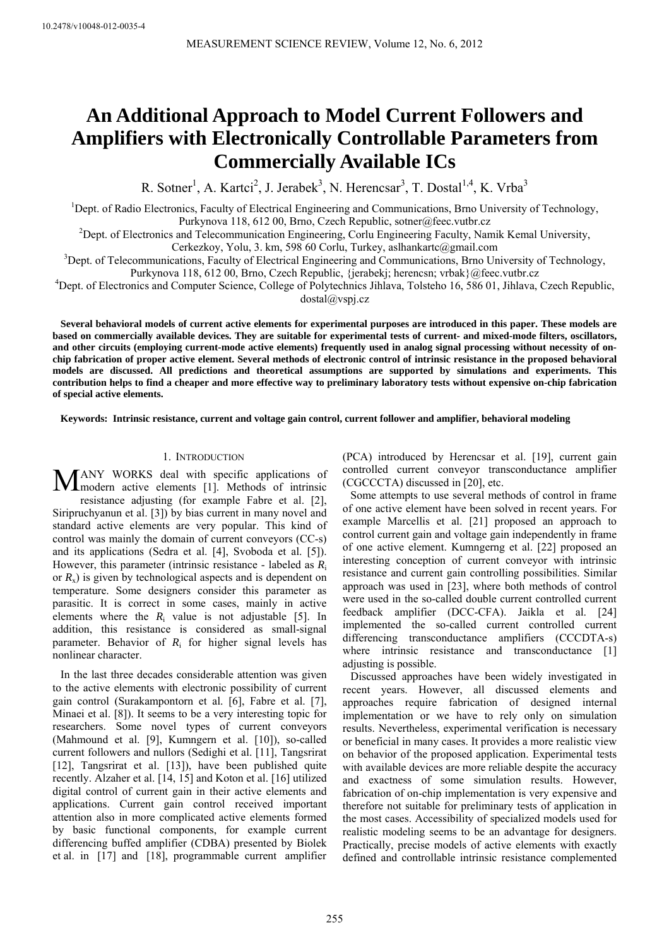# **An Additional Approach to Model Current Followers and Amplifiers with Electronically Controllable Parameters from Commercially Available ICs**

R. Sotner<sup>1</sup>, A. Kartci<sup>2</sup>, J. Jerabek<sup>3</sup>, N. Herencsar<sup>3</sup>, T. Dostal<sup>1,4</sup>, K. Vrba<sup>3</sup>

<sup>1</sup>Dept. of Radio Electronics, Faculty of Electrical Engineering and Communications, Brno University of Technology, Purkynova 118, 612 00, Brno, Czech Republic, sotner@feec.vutbr.cz

<sup>2</sup>Dept. of Electronics and Telecommunication Engineering, Corlu Engineering Faculty, Namik Kemal University,

Cerkezkoy, Yolu, 3. km, 598 60 Corlu, Turkey, aslhankartc@gmail.com

<sup>3</sup>Dept. of Telecommunications, Faculty of Electrical Engineering and Communications, Brno University of Technology, Purkynova 118, 612 00, Brno, Czech Republic, {jerabekj; herencsn; vrbak}@feec.vutbr.cz

<sup>4</sup>Dept. of Electronics and Computer Science, College of Polytechnics Jihlava, Tolsteho 16, 586 01, Jihlava, Czech Republic, dostal@vspj.cz

**Several behavioral models of current active elements for experimental purposes are introduced in this paper. These models are based on commercially available devices. They are suitable for experimental tests of current- and mixed-mode filters, oscillators,**  and other circuits (employing current-mode active elements) frequently used in analog signal processing without necessity of on**chip fabrication of proper active element. Several methods of electronic control of intrinsic resistance in the proposed behavioral models are discussed. All predictions and theoretical assumptions are supported by simulations and experiments. This contribution helps to find a cheaper and more effective way to preliminary laboratory tests without expensive on-chip fabrication of special active elements.** 

**Keywords: Intrinsic resistance, current and voltage gain control, current follower and amplifier, behavioral modeling** 

## 1. INTRODUCTION

ANY WORKS deal with specific applications of MANY WORKS deal with specific applications of modern active elements [1]. Methods of intrinsic resistance adjusting (for example Fabre et al. [2], Siripruchyanun et al. [3]) by bias current in many novel and standard active elements are very popular. This kind of control was mainly the domain of current conveyors (CC-s) and its applications (Sedra et al. [4], Svoboda et al. [5]). However, this parameter (intrinsic resistance - labeled as *R*<sup>i</sup> or *R*x) is given by technological aspects and is dependent on temperature. Some designers consider this parameter as parasitic. It is correct in some cases, mainly in active elements where the  $R_i$  value is not adjustable [5]. In addition, this resistance is considered as small-signal parameter. Behavior of  $R_i$  for higher signal levels has nonlinear character.

In the last three decades considerable attention was given to the active elements with electronic possibility of current gain control (Surakampontorn et al. [6], Fabre et al. [7], Minaei et al. [8]). It seems to be a very interesting topic for researchers. Some novel types of current conveyors (Mahmound et al. [9], Kumngern et al. [10]), so-called current followers and nullors (Sedighi et al. [11], Tangsrirat [12], Tangsrirat et al. [13]), have been published quite recently. Alzaher et al. [14, 15] and Koton et al. [16] utilized digital control of current gain in their active elements and applications. Current gain control received important attention also in more complicated active elements formed by basic functional components, for example current differencing buffed amplifier (CDBA) presented by Biolek et al. in [17] and [18], programmable current amplifier

(PCA) introduced by Herencsar et al. [19], current gain controlled current conveyor transconductance amplifier (CGCCCTA) discussed in [20], etc.

Some attempts to use several methods of control in frame of one active element have been solved in recent years. For example Marcellis et al. [21] proposed an approach to control current gain and voltage gain independently in frame of one active element. Kumngerng et al. [22] proposed an interesting conception of current conveyor with intrinsic resistance and current gain controlling possibilities. Similar approach was used in [23], where both methods of control were used in the so-called double current controlled current feedback amplifier (DCC-CFA). Jaikla et al. [24] implemented the so-called current controlled current differencing transconductance amplifiers (CCCDTA-s) where intrinsic resistance and transconductance [1] adjusting is possible.

Discussed approaches have been widely investigated in recent years. However, all discussed elements and approaches require fabrication of designed internal implementation or we have to rely only on simulation results. Nevertheless, experimental verification is necessary or beneficial in many cases. It provides a more realistic view on behavior of the proposed application. Experimental tests with available devices are more reliable despite the accuracy and exactness of some simulation results. However, fabrication of on-chip implementation is very expensive and therefore not suitable for preliminary tests of application in the most cases. Accessibility of specialized models used for realistic modeling seems to be an advantage for designers. Practically, precise models of active elements with exactly defined and controllable intrinsic resistance complemented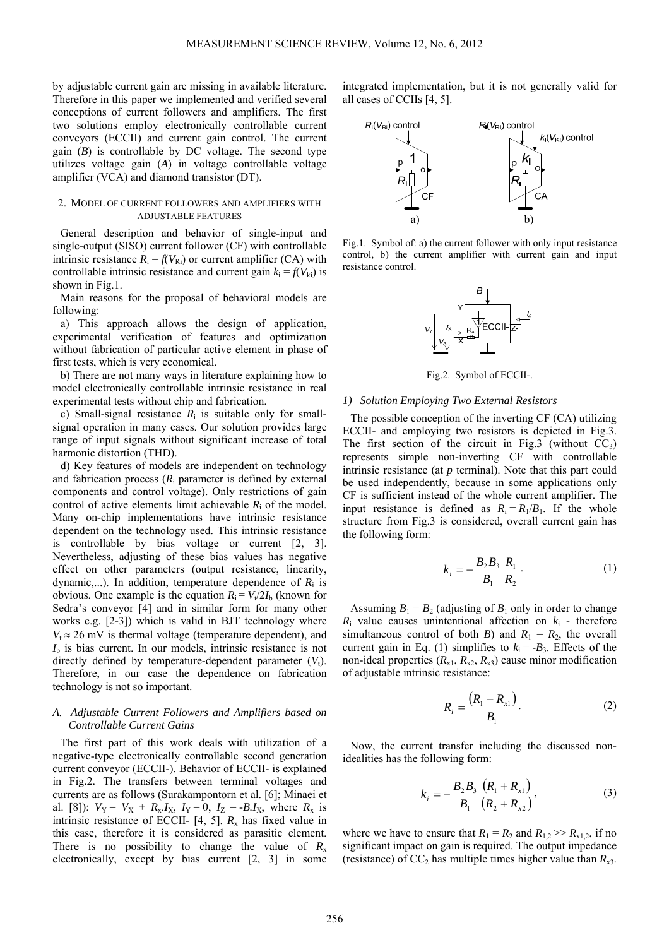by adjustable current gain are missing in available literature. Therefore in this paper we implemented and verified several conceptions of current followers and amplifiers. The first two solutions employ electronically controllable current conveyors (ECCII) and current gain control. The current gain (*B*) is controllable by DC voltage. The second type utilizes voltage gain (*A*) in voltage controllable voltage amplifier (VCA) and diamond transistor (DT).

## 2. MODEL OF CURRENT FOLLOWERS AND AMPLIFIERS WITH ADJUSTABLE FEATURES

General description and behavior of single-input and single-output (SISO) current follower (CF) with controllable intrinsic resistance  $R_i = f(V_{\text{R}i})$  or current amplifier (CA) with controllable intrinsic resistance and current gain  $k_i = f(V_{ki})$  is shown in Fig.1.

Main reasons for the proposal of behavioral models are following:

a) This approach allows the design of application, experimental verification of features and optimization without fabrication of particular active element in phase of first tests, which is very economical.

b) There are not many ways in literature explaining how to model electronically controllable intrinsic resistance in real experimental tests without chip and fabrication.

c) Small-signal resistance  $R_i$  is suitable only for smallsignal operation in many cases. Our solution provides large range of input signals without significant increase of total harmonic distortion (THD).

d) Key features of models are independent on technology and fabrication process  $(R<sub>i</sub>$  parameter is defined by external components and control voltage). Only restrictions of gain control of active elements limit achievable  $R_i$  of the model. Many on-chip implementations have intrinsic resistance dependent on the technology used. This intrinsic resistance is controllable by bias voltage or current [2, 3]. Nevertheless, adjusting of these bias values has negative effect on other parameters (output resistance, linearity, dynamic,...). In addition, temperature dependence of  $R_i$  is obvious. One example is the equation  $R_i = V_i/2I_b$  (known for Sedra's conveyor [4] and in similar form for many other works e.g. [2-3]) which is valid in BJT technology where  $V_t \approx 26$  mV is thermal voltage (temperature dependent), and  $I<sub>b</sub>$  is bias current. In our models, intrinsic resistance is not directly defined by temperature-dependent parameter  $(V_t)$ . Therefore, in our case the dependence on fabrication technology is not so important.

## *A. Adjustable Current Followers and Amplifiers based on Controllable Current Gains*

The first part of this work deals with utilization of a negative-type electronically controllable second generation current conveyor (ECCII-). Behavior of ECCII- is explained in Fig.2. The transfers between terminal voltages and currents are as follows (Surakampontorn et al. [6]; Minaei et al. [8]):  $V_Y = V_X + R_X I_X$ ,  $I_Y = 0$ ,  $I_Z = -B I_X$ , where  $R_X$  is intrinsic resistance of ECCII- [4, 5].  $R_x$  has fixed value in this case, therefore it is considered as parasitic element. There is no possibility to change the value of  $R_x$ electronically, except by bias current [2, 3] in some integrated implementation, but it is not generally valid for all cases of CCIIs [4, 5].



Fig.1. Symbol of: a) the current follower with only input resistance control, b) the current amplifier with current gain and input resistance control.



Fig.2. Symbol of ECCII-.

#### *1) Solution Employing Two External Resistors*

The possible conception of the inverting CF (CA) utilizing ECCII- and employing two resistors is depicted in Fig.3. The first section of the circuit in Fig.3 (without  $CC_3$ ) represents simple non-inverting CF with controllable intrinsic resistance (at *p* terminal). Note that this part could be used independently, because in some applications only CF is sufficient instead of the whole current amplifier. The input resistance is defined as  $R_i = R_1/B_1$ . If the whole structure from Fig.3 is considered, overall current gain has the following form:

$$
k_{i} = -\frac{B_{2}B_{3}}{B_{1}} \frac{R_{1}}{R_{2}}.
$$
 (1)

Assuming  $B_1 = B_2$  (adjusting of  $B_1$  only in order to change  $R_i$  value causes unintentional affection on  $k_i$  - therefore simultaneous control of both *B*) and  $R_1 = R_2$ , the overall current gain in Eq. (1) simplifies to  $k_i = -B_3$ . Effects of the non-ideal properties  $(R_{x1}, R_{x2}, R_{x3})$  cause minor modification of adjustable intrinsic resistance:

$$
R_i = \frac{(R_1 + R_{x1})}{B_1}.
$$
 (2)

Now, the current transfer including the discussed nonidealities has the following form:

$$
k_{i} = -\frac{B_{2}B_{3}}{B_{1}} \frac{(R_{1} + R_{x1})}{(R_{2} + R_{x2})},
$$
\n(3)

where we have to ensure that  $R_1 = R_2$  and  $R_{1,2} \gg R_{x1,2}$ , if no significant impact on gain is required. The output impedance (resistance) of  $CC_2$  has multiple times higher value than  $R_{x3}$ .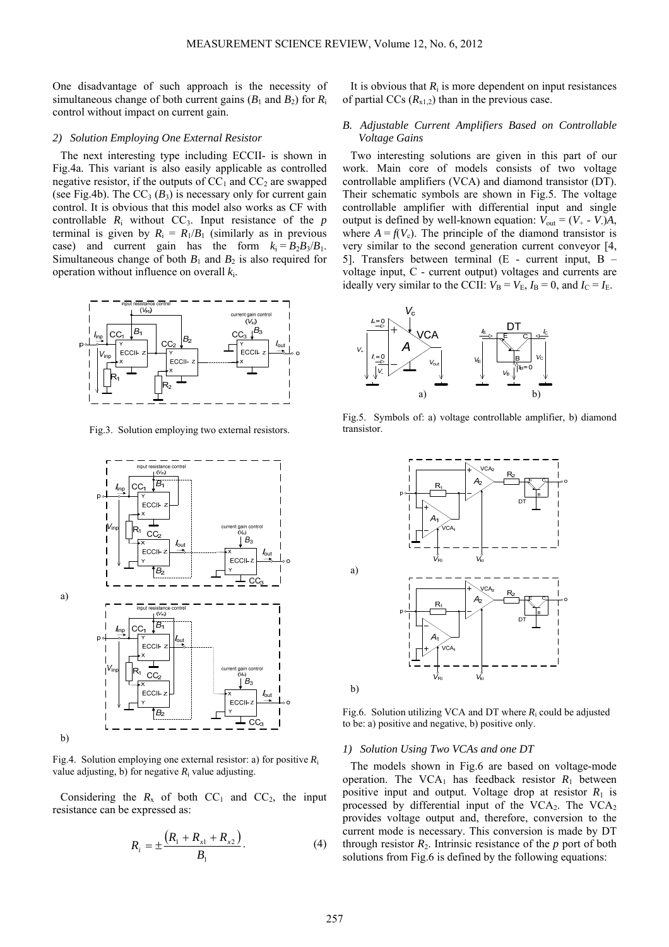One disadvantage of such approach is the necessity of simultaneous change of both current gains  $(B_1 \text{ and } B_2)$  for  $R_i$ control without impact on current gain.

#### *2) Solution Employing One External Resistor*

The next interesting type including ECCII- is shown in Fig.4a. This variant is also easily applicable as controlled negative resistor, if the outputs of  $CC_1$  and  $CC_2$  are swapped (see Fig.4b). The  $CC_3$  ( $B_3$ ) is necessary only for current gain control. It is obvious that this model also works as CF with controllable  $R_i$  without  $CC_3$ . Input resistance of the  $p$ terminal is given by  $R_i = R_1/B_1$  (similarly as in previous case) and current gain has the form  $k_i = B_2 B_3 / B_1$ . Simultaneous change of both  $B_1$  and  $B_2$  is also required for operation without influence on overall *k*i.



Fig.3. Solution employing two external resistors.



Fig.4. Solution employing one external resistor: a) for positive *R*<sup>i</sup> value adjusting, b) for negative  $R_i$  value adjusting.

Considering the  $R_x$  of both  $CC_1$  and  $CC_2$ , the input resistance can be expressed as:

$$
R_{i} = \pm \frac{(R_{1} + R_{x1} + R_{x2})}{B_{1}}.
$$
 (4)

It is obvious that  $R_i$  is more dependent on input resistances of partial CCs  $(R_{x1,2})$  than in the previous case.

# *B. Adjustable Current Amplifiers Based on Controllable Voltage Gains*

Two interesting solutions are given in this part of our work. Main core of models consists of two voltage controllable amplifiers (VCA) and diamond transistor (DT). Their schematic symbols are shown in Fig.5. The voltage controllable amplifier with differential input and single output is defined by well-known equation:  $V_{\text{out}} = (V_+ - V_-)A$ , where  $A = f(V_c)$ . The principle of the diamond transistor is very similar to the second generation current conveyor [4, 5]. Transfers between terminal (E - current input, B – voltage input, C - current output) voltages and currents are ideally very similar to the CCII:  $V_B = V_E$ ,  $I_B = 0$ , and  $I_C = I_E$ .



Fig.5. Symbols of: a) voltage controllable amplifier, b) diamond transistor.



Fig.6. Solution utilizing VCA and DT where  $R_i$  could be adjusted to be: a) positive and negative, b) positive only.

#### *1) Solution Using Two VCAs and one DT*

The models shown in Fig.6 are based on voltage-mode operation. The VCA<sub>1</sub> has feedback resistor  $R_1$  between positive input and output. Voltage drop at resistor  $R_1$  is processed by differential input of the  $VCA<sub>2</sub>$ . The  $VCA<sub>2</sub>$ provides voltage output and, therefore, conversion to the current mode is necessary. This conversion is made by DT through resistor  $R_2$ . Intrinsic resistance of the  $p$  port of both solutions from Fig.6 is defined by the following equations: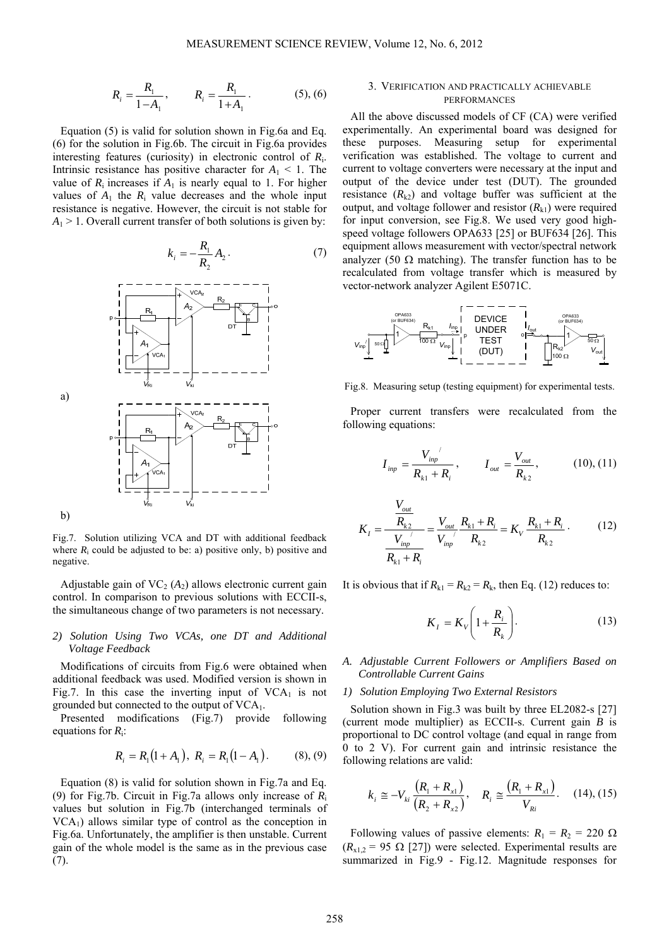$$
R_i = \frac{R_1}{1 - A_1}, \qquad R_i = \frac{R_1}{1 + A_1}.
$$
 (5), (6)

Equation (5) is valid for solution shown in Fig.6a and Eq. (6) for the solution in Fig.6b. The circuit in Fig.6a provides interesting features (curiosity) in electronic control of *R*i. Intrinsic resistance has positive character for  $A_1 \leq 1$ . The value of  $R_i$  increases if  $A_1$  is nearly equal to 1. For higher values of  $A_1$  the  $R_i$  value decreases and the whole input resistance is negative. However, the circuit is not stable for  $A_1$  > 1. Overall current transfer of both solutions is given by:

$$
k_i = -\frac{R_1}{R_2} A_2.
$$
 (7)



Fig.7. Solution utilizing VCA and DT with additional feedback where  $R_i$  could be adjusted to be: a) positive only, b) positive and negative.

Adjustable gain of  $VC_2(A_2)$  allows electronic current gain control. In comparison to previous solutions with ECCII-s, the simultaneous change of two parameters is not necessary.

# *2) Solution Using Two VCAs, one DT and Additional Voltage Feedback*

Modifications of circuits from Fig.6 were obtained when additional feedback was used. Modified version is shown in Fig.7. In this case the inverting input of  $VCA<sub>1</sub>$  is not grounded but connected to the output of  $VCA<sub>1</sub>$ .

Presented modifications (Fig.7) provide following equations for *R*i:

$$
R_i = R_1(1 + A_1), R_i = R_1(1 - A_1).
$$
 (8), (9)

Equation (8) is valid for solution shown in Fig.7a and Eq. (9) for Fig.7b. Circuit in Fig.7a allows only increase of *R*<sup>i</sup> values but solution in Fig.7b (interchanged terminals of  $VCA<sub>1</sub>$ ) allows similar type of control as the conception in Fig.6a. Unfortunately, the amplifier is then unstable. Current gain of the whole model is the same as in the previous case (7).

## 3. VERIFICATION AND PRACTICALLY ACHIEVABLE **PERFORMANCES**

All the above discussed models of CF (CA) were verified experimentally. An experimental board was designed for these purposes. Measuring setup for experimental verification was established. The voltage to current and current to voltage converters were necessary at the input and output of the device under test (DUT). The grounded resistance  $(R_{k2})$  and voltage buffer was sufficient at the output, and voltage follower and resistor  $(R_{k1})$  were required for input conversion, see Fig.8. We used very good highspeed voltage followers OPA633 [25] or BUF634 [26]. This equipment allows measurement with vector/spectral network analyzer (50  $\Omega$  matching). The transfer function has to be recalculated from voltage transfer which is measured by vector-network analyzer Agilent E5071C.



Fig.8. Measuring setup (testing equipment) for experimental tests.

Proper current transfers were recalculated from the following equations:

$$
I_{\text{inp}} = \frac{V_{\text{inp}}^{\prime}}{R_{k1} + R_i}, \qquad I_{\text{out}} = \frac{V_{\text{out}}}{R_{k2}}, \qquad (10), (11)
$$

$$
K_{I} = \frac{\frac{V_{out}}{R_{k2}}}{\frac{V_{inp}}{R_{k1} + R_{i}}} = \frac{V_{out}}{V_{inp}} \frac{R_{k1} + R_{i}}{R_{k2}} = K_{V} \frac{R_{k1} + R_{i}}{R_{k2}}.
$$
 (12)

It is obvious that if  $R_{k1} = R_{k2} = R_k$ , then Eq. (12) reduces to:

$$
K_{I} = K_{V} \left( 1 + \frac{R_{i}}{R_{k}} \right). \tag{13}
$$

# *A. Adjustable Current Followers or Amplifiers Based on Controllable Current Gains*

## *1) Solution Employing Two External Resistors*

Solution shown in Fig.3 was built by three EL2082-s [27] (current mode multiplier) as ECCII-s. Current gain *B* is proportional to DC control voltage (and equal in range from 0 to 2 V). For current gain and intrinsic resistance the following relations are valid:

$$
k_{i} \cong -V_{ki} \frac{\left(R_{1} + R_{x1}\right)}{\left(R_{2} + R_{x2}\right)}, \quad R_{i} \cong \frac{\left(R_{1} + R_{x1}\right)}{V_{Ri}}.\tag{14}, (15)
$$

Following values of passive elements:  $R_1 = R_2 = 220 \Omega$  $(R_{x1,2} = 95 \Omega$  [27]) were selected. Experimental results are summarized in Fig.9 - Fig.12. Magnitude responses for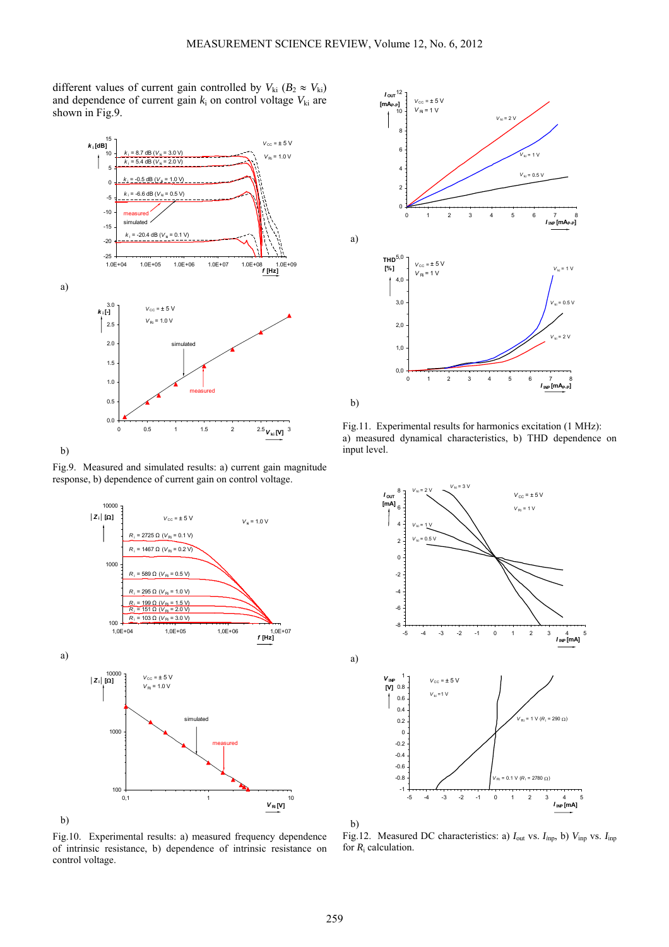different values of current gain controlled by  $V_{ki}$  ( $B_2 \approx V_{ki}$ ) and dependence of current gain  $k_i$  on control voltage  $V_{ki}$  are shown in Fig.9.



b)

a)

Fig.9. Measured and simulated results: a) current gain magnitude response, b) dependence of current gain on control voltage.





Fig.11. Experimental results for harmonics excitation (1 MHz): a) measured dynamical characteristics, b) THD dependence on input level.



Fig.10. Experimental results: a) measured frequency dependence of intrinsic resistance, b) dependence of intrinsic resistance on control voltage.

Fig.12. Measured DC characteristics: a) *I*out vs. *Ii*np, b) *V*inp vs. *I*inp for *R*i calculation.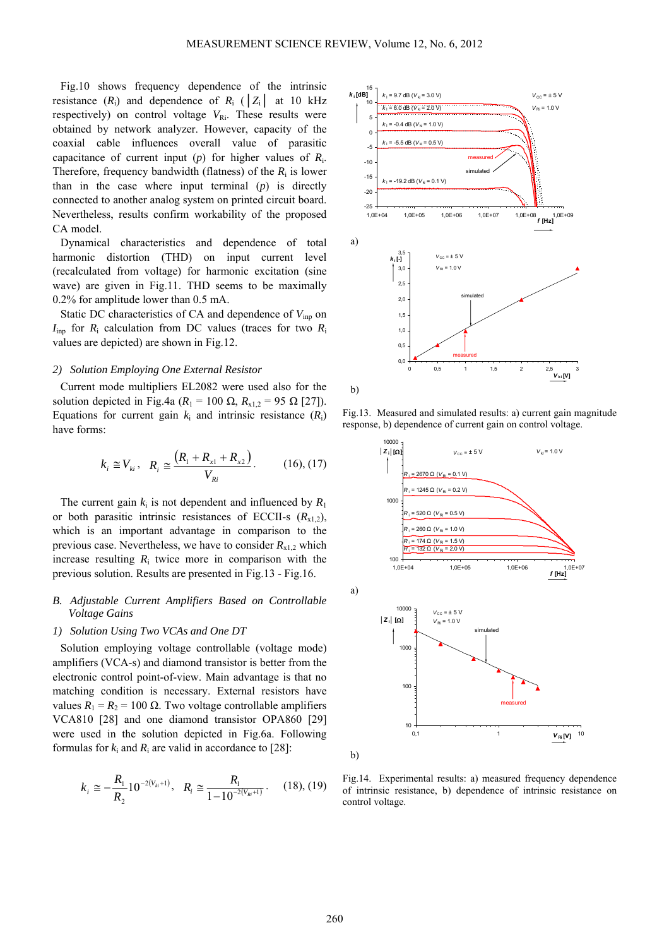Fig.10 shows frequency dependence of the intrinsic resistance  $(R_i)$  and dependence of  $R_i$  ( $|Z_i|$  at 10 kHz respectively) on control voltage  $V_{\text{Ri}}$ . These results were obtained by network analyzer. However, capacity of the coaxial cable influences overall value of parasitic capacitance of current input (*p*) for higher values of *R*i. Therefore, frequency bandwidth (flatness) of the  $R_i$  is lower than in the case where input terminal (*p*) is directly connected to another analog system on printed circuit board. Nevertheless, results confirm workability of the proposed CA model.

Dynamical characteristics and dependence of total harmonic distortion (THD) on input current level (recalculated from voltage) for harmonic excitation (sine wave) are given in Fig.11. THD seems to be maximally 0.2% for amplitude lower than 0.5 mA.

Static DC characteristics of CA and dependence of  $V_{\text{inn}}$  on  $I_{\text{inp}}$  for  $R_i$  calculation from DC values (traces for two  $R_i$ values are depicted) are shown in Fig.12.

#### *2) Solution Employing One External Resistor*

Current mode multipliers EL2082 were used also for the solution depicted in Fig.4a ( $R_1 = 100$  Ω,  $R_{x1,2} = 95$  Ω [27]). Equations for current gain  $k_i$  and intrinsic resistance  $(R_i)$ have forms:

$$
k_i \approx V_{ki}
$$
,  $R_i \approx \frac{(R_1 + R_{x1} + R_{x2})}{V_{Ri}}$ . (16), (17)

The current gain  $k_i$  is not dependent and influenced by  $R_1$ or both parasitic intrinsic resistances of ECCII-s  $(R_{x1,2})$ , which is an important advantage in comparison to the previous case. Nevertheless, we have to consider  $R_{x1,2}$  which increase resulting  $R_i$  twice more in comparison with the previous solution. Results are presented in Fig.13 - Fig.16.

## *B. Adjustable Current Amplifiers Based on Controllable Voltage Gains*

#### *1) Solution Using Two VCAs and One DT*

Solution employing voltage controllable (voltage mode) amplifiers (VCA-s) and diamond transistor is better from the electronic control point-of-view. Main advantage is that no matching condition is necessary. External resistors have values  $R_1 = R_2 = 100$  Ω. Two voltage controllable amplifiers VCA810 [28] and one diamond transistor OPA860 [29] were used in the solution depicted in Fig.6a. Following formulas for  $k_i$  and  $R_i$  are valid in accordance to [28]:

$$
k_{i} \cong -\frac{R_{1}}{R_{2}} 10^{-2(V_{ki}+1)}, \quad R_{i} \cong \frac{R_{1}}{1-10^{-2(V_{ki}+1)}}. \tag{18}, (19)
$$



Fig.13. Measured and simulated results: a) current gain magnitude response, b) dependence of current gain on control voltage.



Fig.14. Experimental results: a) measured frequency dependence of intrinsic resistance, b) dependence of intrinsic resistance on control voltage.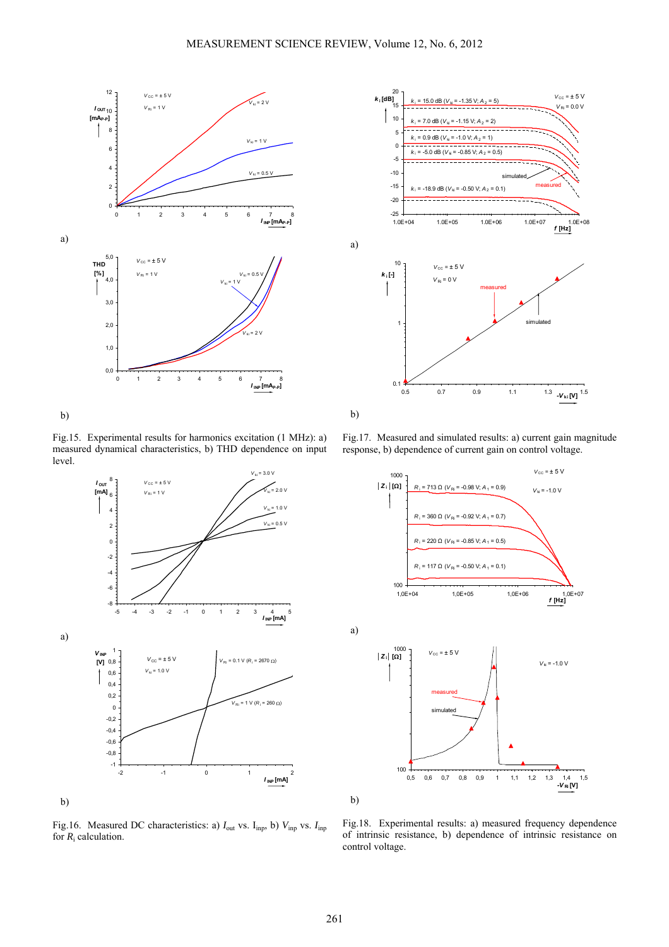

b)

Fig.15. Experimental results for harmonics excitation (1 MHz): a) measured dynamical characteristics, b) THD dependence on input level.







Fig.17. Measured and simulated results: a) current gain magnitude response, b) dependence of current gain on control voltage.



Fig.16. Measured DC characteristics: a)  $I_{\text{out}}$  vs.  $I_{\text{inp}}$ , b)  $V_{\text{inp}}$  vs.  $I_{\text{inp}}$ for  $R_i$  calculation.

Fig.18. Experimental results: a) measured frequency dependence of intrinsic resistance, b) dependence of intrinsic resistance on control voltage.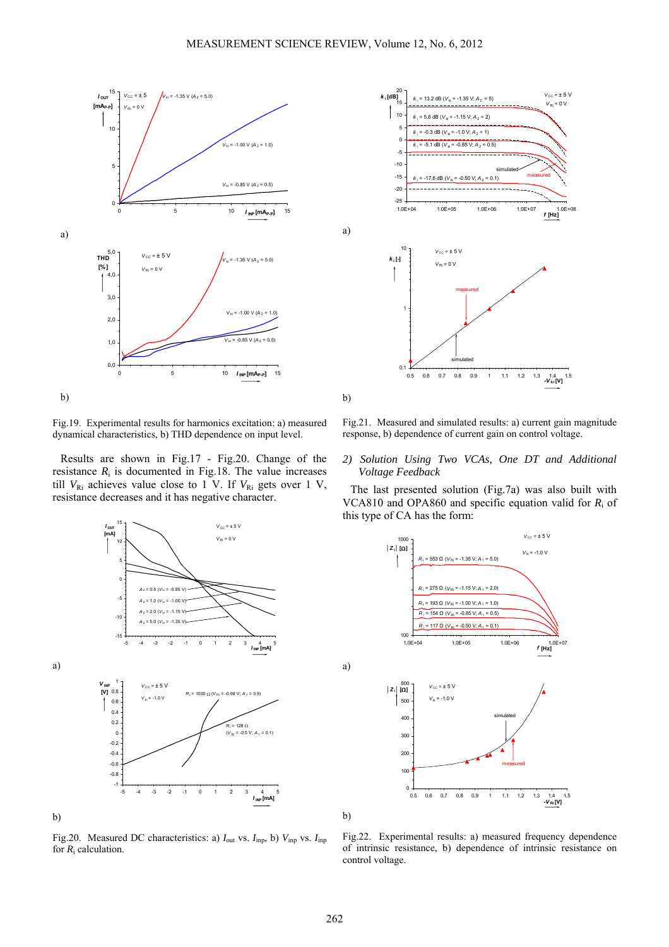

Fig.19. Experimental results for harmonics excitation: a) measured dynamical characteristics, b) THD dependence on input level.

Results are shown in Fig.17 - Fig.20. Change of the resistance  $R_i$  is documented in Fig.18. The value increases till  $V_{\text{Ri}}$  achieves value close to 1 V. If  $V_{\text{Ri}}$  gets over 1 V, resistance decreases and it has negative character.







Fig.21. Measured and simulated results: a) current gain magnitude response, b) dependence of current gain on control voltage.

## *2) Solution Using Two VCAs, One DT and Additional Voltage Feedback*

The last presented solution (Fig.7a) was also built with VCA810 and OPA860 and specific equation valid for *R*i of this type of CA has the form:



Fig.22. Experimental results: a) measured frequency dependence of intrinsic resistance, b) dependence of intrinsic resistance on control voltage.

a)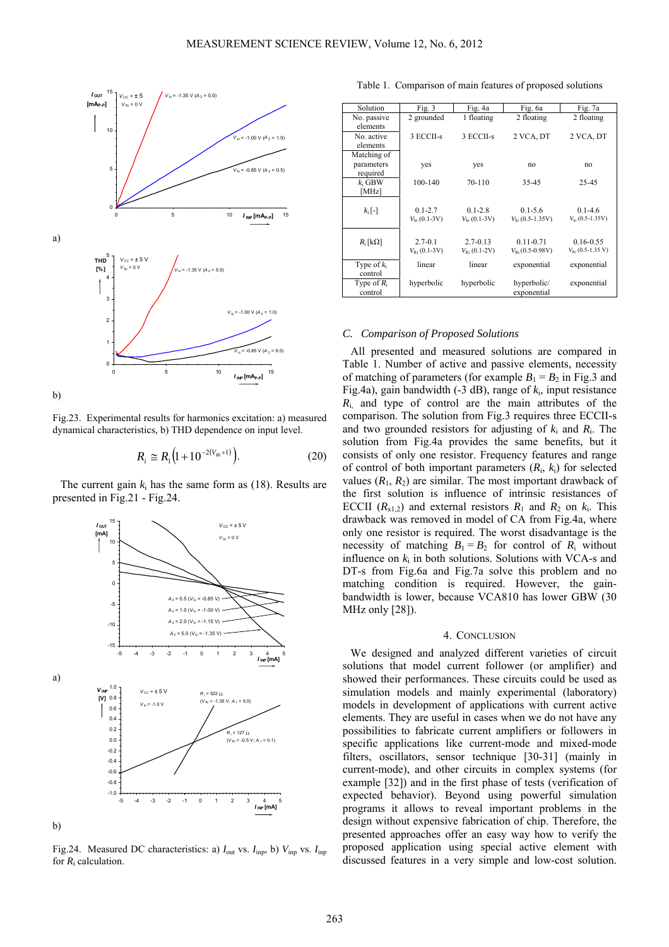

Fig.23. Experimental results for harmonics excitation: a) measured dynamical characteristics, b) THD dependence on input level.

$$
R_i \cong R_1 \big( 1 + 10^{-2(V_{Ri}+1)} \big). \tag{20}
$$

The current gain  $k_i$  has the same form as (18). Results are presented in Fig.21 - Fig.24.



Fig.24. Measured DC characteristics: a)  $I_{\text{out}}$  vs.  $I_{\text{inp}}$ , b)  $V_{\text{inp}}$  vs.  $I_{\text{inp}}$ for  $R_i$  calculation.

Table 1. Comparison of main features of proposed solutions

| Solution                              | Fig. $3$                               | Fig. 4a                               | Fig. 6a                                                   | Fig. 7a                                       |
|---------------------------------------|----------------------------------------|---------------------------------------|-----------------------------------------------------------|-----------------------------------------------|
| No. passive<br>elements               | 2 grounded                             | 1 floating                            | 2 floating                                                | 2 floating                                    |
| No. active<br>elements                | 3 ECCII-s                              | 3 ECCII-s                             | 2 VCA, DT                                                 | 2 VCA, DT                                     |
| Matching of<br>parameters<br>required | yes                                    | yes                                   | no                                                        | no                                            |
| $k_i$ GBW<br>[MHz]                    | 100-140                                | 70-110                                | 35-45                                                     | 25-45                                         |
| $k_i$ [-]                             | $0.1 - 2.7$<br>$V_{ki}$ (0.1-3V)       | $0.1 - 2.8$<br>$V_{11}(0.1-3V)$       | $0.1 - 5.6$<br>$V_{1i}$ (0.5-1.35V)                       | $0.1 - 4.6$<br>$V_{16}$ (0.5-1.35V)           |
| $R_i$ [kΩ]                            | $2.7 - 0.1$<br>$V_{\text{Ri}}(0.1-3V)$ | $2.7 - 0.13$<br>$V_{\rm Ri}$ (0.1-2V) | $0.11 - 0.71$<br>$V_{\text{B}}(0.5{\text -}0.98\text{V})$ | $0.16 - 0.55$<br>$V_{\text{Ri}}$ (0.5-1.35 V) |
| Type of $k_i$<br>control              | linear                                 | linear                                | exponential                                               | exponential                                   |
| Type of $R_i$<br>control              | hyperbolic                             | hyperbolic                            | hyperbolic/<br>exponential                                | exponential                                   |

#### *C. Comparison of Proposed Solutions*

All presented and measured solutions are compared in Table 1. Number of active and passive elements, necessity of matching of parameters (for example  $B_1 = B_2$  in Fig.3 and Fig.4a), gain bandwidth (-3 dB), range of *k*i, input resistance *R*i, and type of control are the main attributes of the comparison. The solution from Fig.3 requires three ECCII-s and two grounded resistors for adjusting of  $k_i$  and  $R_i$ . The solution from Fig.4a provides the same benefits, but it consists of only one resistor. Frequency features and range of control of both important parameters (*R*i, *k*i) for selected values  $(R_1, R_2)$  are similar. The most important drawback of the first solution is influence of intrinsic resistances of ECCII  $(R_{x1,2})$  and external resistors  $R_1$  and  $R_2$  on  $k_1$ . This drawback was removed in model of CA from Fig.4a, where only one resistor is required. The worst disadvantage is the necessity of matching  $B_1 = B_2$  for control of  $R_i$  without influence on  $k_i$  in both solutions. Solutions with VCA-s and DT-s from Fig.6a and Fig.7a solve this problem and no matching condition is required. However, the gainbandwidth is lower, because VCA810 has lower GBW (30 MHz only [28]).

# 4. CONCLUSION

We designed and analyzed different varieties of circuit solutions that model current follower (or amplifier) and showed their performances. These circuits could be used as simulation models and mainly experimental (laboratory) models in development of applications with current active elements. They are useful in cases when we do not have any possibilities to fabricate current amplifiers or followers in specific applications like current-mode and mixed-mode filters, oscillators, sensor technique [30-31] (mainly in current-mode), and other circuits in complex systems (for example [32]) and in the first phase of tests (verification of expected behavior). Beyond using powerful simulation programs it allows to reveal important problems in the design without expensive fabrication of chip. Therefore, the presented approaches offer an easy way how to verify the proposed application using special active element with discussed features in a very simple and low-cost solution.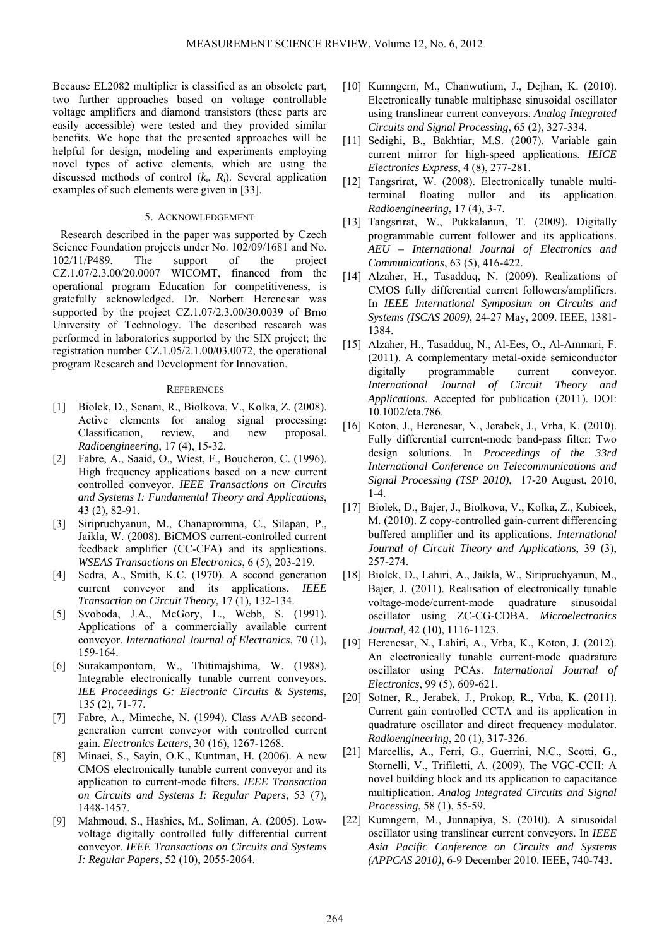Because EL2082 multiplier is classified as an obsolete part, two further approaches based on voltage controllable voltage amplifiers and diamond transistors (these parts are easily accessible) were tested and they provided similar benefits. We hope that the presented approaches will be helpful for design, modeling and experiments employing novel types of active elements, which are using the discussed methods of control (*k*i, *R*i). Several application examples of such elements were given in [33].

## 5. ACKNOWLEDGEMENT

Research described in the paper was supported by Czech Science Foundation projects under No. 102/09/1681 and No. 102/11/P489. The support of the project CZ.1.07/2.3.00/20.0007 WICOMT, financed from the operational program Education for competitiveness, is gratefully acknowledged. Dr. Norbert Herencsar was supported by the project CZ.1.07/2.3.00/30.0039 of Brno University of Technology. The described research was performed in laboratories supported by the SIX project; the registration number CZ.1.05/2.1.00/03.0072, the operational program Research and Development for Innovation.

#### **REFERENCES**

- [1] Biolek, D., Senani, R., Biolkova, V., Kolka, Z. (2008). Active elements for analog signal processing: Classification, review, and new proposal. *Radioengineering*, 17 (4), 15-32.
- [2] Fabre, A., Saaid, O., Wiest, F., Boucheron, C. (1996). High frequency applications based on a new current controlled conveyor. *IEEE Transactions on Circuits and Systems I: Fundamental Theory and Applications*, 43 (2), 82-91.
- [3] Siripruchyanun, M., Chanapromma, C., Silapan, P., Jaikla, W. (2008). BiCMOS current-controlled current feedback amplifier (CC-CFA) and its applications. *WSEAS Transactions on Electronics*, 6 (5), 203-219.
- [4] Sedra, A., Smith, K.C. (1970). A second generation current conveyor and its applications. *IEEE Transaction on Circuit Theory*, 17 (1), 132-134.
- [5] Svoboda, J.A., McGory, L., Webb, S. (1991). Applications of a commercially available current conveyor. *International Journal of Electronics*, 70 (1), 159-164.
- [6] Surakampontorn, W., Thitimajshima, W. (1988). Integrable electronically tunable current conveyors. *IEE Proceedings G: Electronic Circuits & Systems*, 135 (2), 71-77.
- [7] Fabre, A., Mimeche, N. (1994). Class A/AB secondgeneration current conveyor with controlled current gain. *Electronics Letters*, 30 (16), 1267-1268.
- [8] Minaei, S., Sayin, O.K., Kuntman, H. (2006). A new CMOS electronically tunable current conveyor and its application to current-mode filters. *IEEE Transaction on Circuits and Systems I: Regular Papers*, 53 (7), 1448-1457.
- [9] Mahmoud, S., Hashies, M., Soliman, A. (2005). Lowvoltage digitally controlled fully differential current conveyor. *IEEE Transactions on Circuits and Systems I: Regular Papers*, 52 (10), 2055-2064.
- [10] Kumngern, M., Chanwutium, J., Dejhan, K. (2010). Electronically tunable multiphase sinusoidal oscillator using translinear current conveyors. *Analog Integrated Circuits and Signal Processing*, 65 (2), 327-334.
- [11] Sedighi, B., Bakhtiar, M.S. (2007). Variable gain current mirror for high-speed applications. *IEICE Electronics Express*, 4 (8), 277-281.
- [12] Tangsrirat, W. (2008). Electronically tunable multiterminal floating nullor and its application. *Radioengineering*, 17 (4), 3-7.
- [13] Tangsrirat, W., Pukkalanun, T. (2009). Digitally programmable current follower and its applications. *AEU – International Journal of Electronics and Communications*, 63 (5), 416-422.
- [14] Alzaher, H., Tasadduq, N. (2009). Realizations of CMOS fully differential current followers/amplifiers. In *IEEE International Symposium on Circuits and Systems (ISCAS 2009)*, 24-27 May, 2009. IEEE, 1381- 1384.
- [15] Alzaher, H., Tasadduq, N., Al-Ees, O., Al-Ammari, F. (2011). A complementary metal-oxide semiconductor digitally programmable current conveyor. *International Journal of Circuit Theory and Applications*. Accepted for publication (2011). DOI: 10.1002/cta.786.
- [16] Koton, J., Herencsar, N., Jerabek, J., Vrba, K. (2010). Fully differential current-mode band-pass filter: Two design solutions. In *Proceedings of the 33rd International Conference on Telecommunications and Signal Processing (TSP 2010)*, 17-20 August, 2010, 1-4.
- [17] Biolek, D., Bajer, J., Biolkova, V., Kolka, Z., Kubicek, M. (2010). Z copy-controlled gain-current differencing buffered amplifier and its applications. *International Journal of Circuit Theory and Applications*, 39 (3), 257-274.
- [18] Biolek, D., Lahiri, A., Jaikla, W., Siripruchyanun, M., Bajer, J. (2011). Realisation of electronically tunable voltage-mode/current-mode quadrature sinusoidal oscillator using ZC-CG-CDBA. *Microelectronics Journal*, 42 (10), 1116-1123.
- [19] Herencsar, N., Lahiri, A., Vrba, K., Koton, J. (2012). An electronically tunable current-mode quadrature oscillator using PCAs. *International Journal of Electronics*, 99 (5), 609-621.
- [20] Sotner, R., Jerabek, J., Prokop, R., Vrba, K. (2011). Current gain controlled CCTA and its application in quadrature oscillator and direct frequency modulator. *Radioengineering*, 20 (1), 317-326.
- [21] Marcellis, A., Ferri, G., Guerrini, N.C., Scotti, G., Stornelli, V., Trifiletti, A. (2009). The VGC-CCII: A novel building block and its application to capacitance multiplication. *Analog Integrated Circuits and Signal Processing*, 58 (1), 55-59.
- [22] Kumngern, M., Junnapiya, S. (2010). A sinusoidal oscillator using translinear current conveyors. In *IEEE Asia Pacific Conference on Circuits and Systems (APPCAS 2010)*, 6-9 December 2010. IEEE, 740-743.